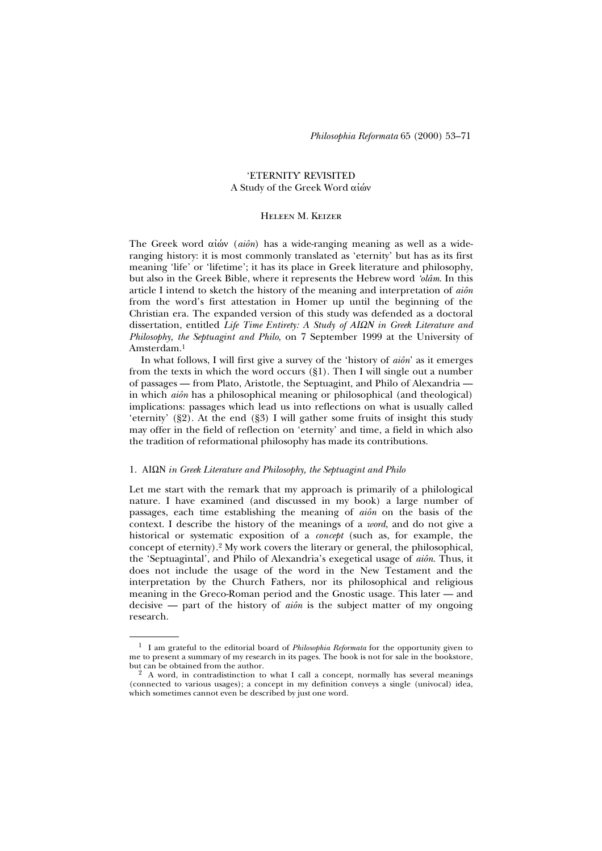# 'ETERNITY' REVISITED A Study of the Greek Word αίών

# Heleen M. Keizer

The Greek word αίών (*aiôn*) has a wide-ranging meaning as well as a wideranging history: it is most commonly translated as 'eternity' but has as its first meaning 'life' or 'lifetime'; it has its place in Greek literature and philosophy, but also in the Greek Bible, where it represents the Hebrew word *'olâm*. In this article I intend to sketch the history of the meaning and interpretation of *aiôn* from the word's first attestation in Homer up until the beginning of the Christian era. The expanded version of this study was defended as a doctoral dissertation, entitled *Life Time Entirety: A Study of AIQN in Greek Literature and Philosophy, the Septuagint and Philo,* on 7 September 1999 at the University of Amsterdam.1

In what follows, I will first give a survey of the 'history of *aiôn*' as it emerges from the texts in which the word occurs (§1). Then I will single out a number of passages — from Plato, Aristotle, the Septuagint, and Philo of Alexandria in which *aiôn* has a philosophical meaning or philosophical (and theological) implications: passages which lead us into reflections on what is usually called 'eternity' (§2). At the end (§3) I will gather some fruits of insight this study may offer in the field of reflection on 'eternity' and time, a field in which also the tradition of reformational philosophy has made its contributions.

#### 1. AIΩN *in Greek Literature and Philosophy, the Septuagint and Philo*

Let me start with the remark that my approach is primarily of a philological nature. I have examined (and discussed in my book) a large number of passages, each time establishing the meaning of *aiôn* on the basis of the context. I describe the history of the meanings of a *word*, and do not give a historical or systematic exposition of a *concept* (such as, for example, the concept of eternity).2 My work covers the literary or general, the philosophical, the 'Septuagintal', and Philo of Alexandria's exegetical usage of *aiôn*. Thus, it does not include the usage of the word in the New Testament and the interpretation by the Church Fathers, nor its philosophical and religious meaning in the Greco-Roman period and the Gnostic usage. This later — and decisive — part of the history of *aiôn* is the subject matter of my ongoing research.

<sup>1</sup> I am grateful to the editorial board of *Philosophia Reformata* for the opportunity given to me to present a summary of my research in its pages. The book is not for sale in the bookstore,

 $\frac{2}{3}$  A word, in contradistinction to what I call a concept, normally has several meanings (connected to various usages); a concept in my definition conveys a single (univocal) idea, which sometimes cannot even be described by just one word.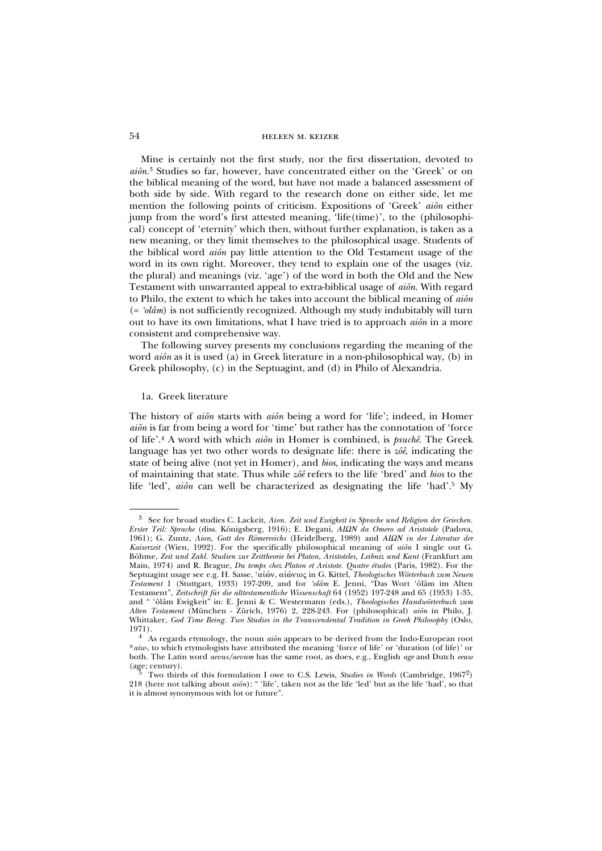Mine is certainly not the first study, nor the first dissertation, devoted to *aiôn*.3 Studies so far, however, have concentrated either on the 'Greek' or on the biblical meaning of the word, but have not made a balanced assessment of both side by side. With regard to the research done on either side, let me mention the following points of criticism. Expositions of 'Greek' *aiôn* either jump from the word's first attested meaning, 'life(time)', to the (philosophical) concept of 'eternity' which then, without further explanation, is taken as a new meaning, or they limit themselves to the philosophical usage. Students of the biblical word *aiôn* pay little attention to the Old Testament usage of the word in its own right. Moreover, they tend to explain one of the usages (viz. the plural) and meanings (viz. 'age') of the word in both the Old and the New Testament with unwarranted appeal to extra-biblical usage of *aiôn*. With regard to Philo, the extent to which he takes into account the biblical meaning of *aiôn* (= *'olâm*) is not sufficiently recognized. Although my study indubitably will turn out to have its own limitations, what I have tried is to approach *aiôn* in a more consistent and comprehensive way.

The following survey presents my conclusions regarding the meaning of the word *aiôn* as it is used (a) in Greek literature in a non-philosophical way, (b) in Greek philosophy, (c) in the Septuagint, and (d) in Philo of Alexandria.

#### 1a. Greek literature

The history of *aiôn* starts with *aiôn* being a word for 'life'; indeed, in Homer *aiôn* is far from being a word for 'time' but rather has the connotation of 'force of life'.4 A word with which *aiôn* in Homer is combined, is *psuchê*. The Greek language has yet two other words to designate life: there is *zôê*, indicating the state of being alive (not yet in Homer), and *bios*, indicating the ways and means of maintaining that state. Thus while *zôê* refers to the life 'bred' and *bios* to the life 'led', *aiôn* can well be characterized as designating the life 'had'.5 My

<sup>3</sup> See for broad studies C. Lackeit, *Aion. Zeit und Ewigkeit in Sprache und Religion der Griechen. Erster Teil: Sprache* (diss. Königsberg, 1916); E. Degani, AIVN *da Omero ad Aristotele* (Padova, 1961); G. Zuntz, *Aion, Gott des Römerreichs* (Heidelberg, 1989) and *AIQN in der Literatur der Kaiserzeit* (Wien, 1992). For the specifically philosophical meaning of *aiôn* I single out G. Böhme, *Zeit und Zahl. Studien zur Zeittheorie bei Platon, Aristoteles, Leibniz und Kant* (Frankfurt am Main, 1974) and R. Brague, *Du temps chez Platon et Aristote. Quatre études* (Paris, 1982). For the Septuagint usage see e.g. H. Sasse, 'afi≈n, afi≈niow in G. Kittel, *Theologisches Wörterbuch zum Neuen Testament* 1 (Stuttgart, 1933) 197-209, and for *'olâm* E. Jenni, "Das Wort 'ôlâm im Alten Testament", *Zeitschrift für die alttestamentliche Wissenschaft* 64 (1952) 197-248 and 65 (1953) 1-35, and " 'ôlâm Ewigkeit" in: E. Jenni & C. Westermann (eds.), *Theologisches Handwörterbuch zum Alten Testament* (München - Zürich, 1976) 2, 228-243. For (philosophical) *aiôn* in Philo, J. Whittaker, *God Time Being. Two Studies in the Transcendental Tradition in Greek Philosophy* (Oslo,

<sup>&</sup>lt;sup>4</sup> As regards etymology, the noun *aiôn* appears to be derived from the Indo-European root \**aiw-*, to which etymologists have attributed the meaning 'force of life' or 'duration (of life)' or both. The Latin word *aevus/aevum* has the same root, as does, e.g., English *age* and Dutch *eeuw*

 $\frac{6}{5}$  Two thirds of this formulation I owe to C.S. Lewis, *Studies in Words* (Cambridge, 1967<sup>2</sup>) 218 (here not talking about *aiôn*): " 'life', taken not as the life 'led' but as the life 'had', so that it is almost synonymous with lot or future".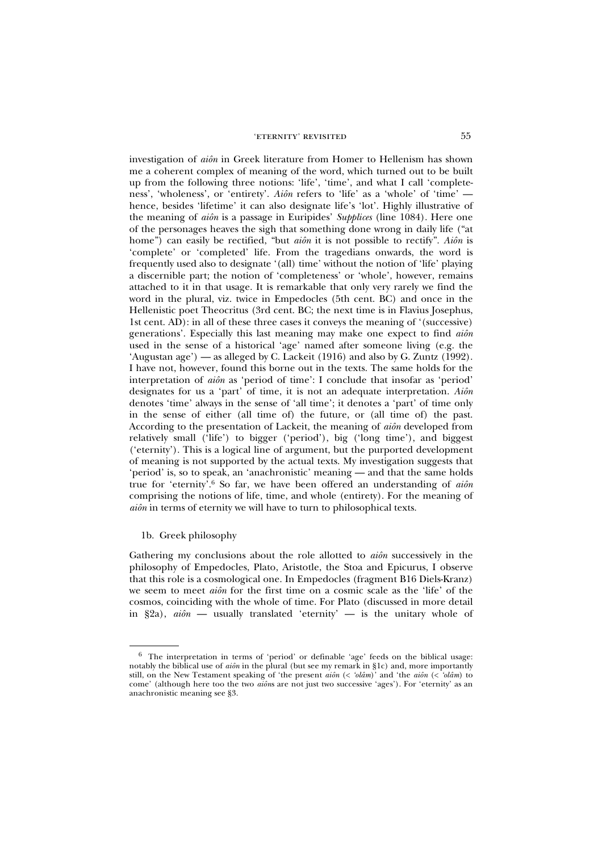investigation of *aiôn* in Greek literature from Homer to Hellenism has shown me a coherent complex of meaning of the word, which turned out to be built up from the following three notions: 'life', 'time', and what I call 'completeness', 'wholeness', or 'entirety'. *Aiôn* refers to 'life' as a 'whole' of 'time' hence, besides 'lifetime' it can also designate life's 'lot'. Highly illustrative of the meaning of *aiôn* is a passage in Euripides' *Supplices* (line 1084). Here one of the personages heaves the sigh that something done wrong in daily life ("at home") can easily be rectified, "but *aiôn* it is not possible to rectify". *Aiôn* is 'complete' or 'completed' life. From the tragedians onwards, the word is frequently used also to designate '(all) time' without the notion of 'life' playing a discernible part; the notion of 'completeness' or 'whole', however, remains attached to it in that usage. It is remarkable that only very rarely we find the word in the plural, viz. twice in Empedocles (5th cent. BC) and once in the Hellenistic poet Theocritus (3rd cent. BC; the next time is in Flavius Josephus, 1st cent.  $AD$ ): in all of these three cases it conveys the meaning of '(successive) generations'. Especially this last meaning may make one expect to find *aiôn* used in the sense of a historical 'age' named after someone living (e.g. the 'Augustan age') — as alleged by C. Lackeit (1916) and also by G. Zuntz (1992). I have not, however, found this borne out in the texts. The same holds for the interpretation of *aiôn* as 'period of time': I conclude that insofar as 'period' designates for us a 'part' of time, it is not an adequate interpretation. *Aiôn* denotes 'time' always in the sense of 'all time'; it denotes a 'part' of time only in the sense of either (all time of) the future, or (all time of) the past. According to the presentation of Lackeit, the meaning of *aiôn* developed from relatively small ('life') to bigger ('period'), big ('long time'), and biggest ('eternity'). This is a logical line of argument, but the purported development of meaning is not supported by the actual texts. My investigation suggests that 'period' is, so to speak, an 'anachronistic' meaning — and that the same holds true for 'eternity'.6 So far, we have been offered an understanding of *aiôn* comprising the notions of life, time, and whole (entirety). For the meaning of *aiôn* in terms of eternity we will have to turn to philosophical texts.

### 1b. Greek philosophy

Gathering my conclusions about the role allotted to *aiôn* successively in the philosophy of Empedocles, Plato, Aristotle, the Stoa and Epicurus, I observe that this role is a cosmological one. In Empedocles (fragment B16 Diels-Kranz) we seem to meet *aiôn* for the first time on a cosmic scale as the 'life' of the cosmos, coinciding with the whole of time. For Plato (discussed in more detail in §2a), *aiôn* — usually translated 'eternity' — is the unitary whole of

 $6$  The interpretation in terms of 'period' or definable 'age' feeds on the biblical usage: notably the biblical use of *aiôn* in the plural (but see my remark in §1c) and, more importantly still, on the New Testament speaking of 'the present *aiôn* (< *'olâm*)' and 'the *aiôn* (< *'olâm*) to come' (although here too the two *aiôn*s are not just two successive 'ages'). For 'eternity' as an anachronistic meaning see §3.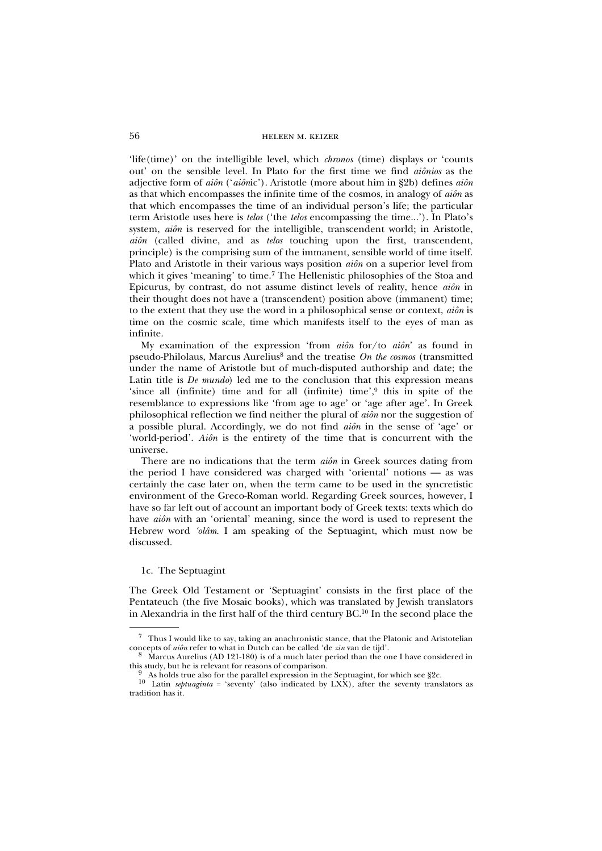'life(time)' on the intelligible level, which *chronos* (time) displays or 'counts out' on the sensible level. In Plato for the first time we find *aiônios* as the adjective form of *aiôn* ('*aiôn*ic'). Aristotle (more about him in §2b) defines *aiôn* as that which encompasses the infinite time of the cosmos, in analogy of *aiôn* as that which encompasses the time of an individual person's life; the particular term Aristotle uses here is *telos* ('the *telos* encompassing the time...'). In Plato's system, *aiôn* is reserved for the intelligible, transcendent world; in Aristotle, *aiôn* (called divine, and as *telos* touching upon the first, transcendent, principle) is the comprising sum of the immanent, sensible world of time itself. Plato and Aristotle in their various ways position *aiôn* on a superior level from which it gives 'meaning' to time.<sup>7</sup> The Hellenistic philosophies of the Stoa and Epicurus, by contrast, do not assume distinct levels of reality, hence *aiôn* in their thought does not have a (transcendent) position above (immanent) time; to the extent that they use the word in a philosophical sense or context, *aiôn* is time on the cosmic scale, time which manifests itself to the eyes of man as infinite.

My examination of the expression 'from *aiôn* for/to *aiôn*' as found in pseudo-Philolaus, Marcus Aurelius8 and the treatise *On the cosmos* (transmitted under the name of Aristotle but of much-disputed authorship and date; the Latin title is *De mundo*) led me to the conclusion that this expression means 'since all (infinite) time and for all (infinite) time',9 this in spite of the resemblance to expressions like 'from age to age' or 'age after age'. In Greek philosophical reflection we find neither the plural of *aiôn* nor the suggestion of a possible plural. Accordingly, we do not find *aiôn* in the sense of 'age' or 'world-period'. *Aiôn* is the entirety of the time that is concurrent with the universe.

There are no indications that the term *aiôn* in Greek sources dating from the period I have considered was charged with 'oriental' notions — as was certainly the case later on, when the term came to be used in the syncretistic environment of the Greco-Roman world. Regarding Greek sources, however, I have so far left out of account an important body of Greek texts: texts which do have *aiôn* with an 'oriental' meaning, since the word is used to represent the Hebrew word *'olâm*. I am speaking of the Septuagint, which must now be discussed.

# 1c. The Septuagint

The Greek Old Testament or 'Septuagint' consists in the first place of the Pentateuch (the five Mosaic books), which was translated by Jewish translators in Alexandria in the first half of the third century BC.10 In the second place the

<sup>&</sup>lt;sup>7</sup> Thus I would like to say, taking an anachronistic stance, that the Platonic and Aristotelian concepts of *aiôn* refer to what in Dutch can be called 'de *zin* van de tijd'.

<sup>&</sup>lt;sup>8</sup> Marcus Aurelius (AD 121-180) is of a much later period than the one I have considered in this study, but he is relevant for reasons of comparison.

<sup>&</sup>lt;sup>9</sup> As holds true also for the parallel expression in the Septuagint, for which see §2c.<br><sup>10</sup> Latin *septuaginta* = 'seventy' (also indicated by LXX), after the seventy translators as tradition has it.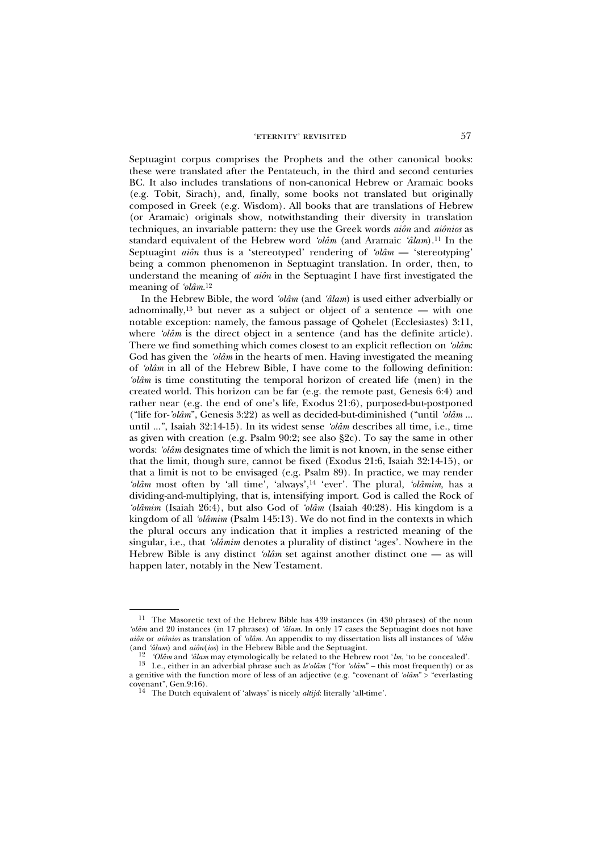Septuagint corpus comprises the Prophets and the other canonical books: these were translated after the Pentateuch, in the third and second centuries BC. It also includes translations of non-canonical Hebrew or Aramaic books (e.g. Tobit, Sirach), and, finally, some books not translated but originally composed in Greek (e.g. Wisdom). All books that are translations of Hebrew (or Aramaic) originals show, notwithstanding their diversity in translation techniques, an invariable pattern: they use the Greek words *aiôn* and *aiônios* as standard equivalent of the Hebrew word *'olâm* (and Aramaic *'âlam*).11 In the Septuagint *aiôn* thus is a 'stereotyped' rendering of *'olâm* — 'stereotyping' being a common phenomenon in Septuagint translation. In order, then, to understand the meaning of *aiôn* in the Septuagint I have first investigated the meaning of *'olâm*.12

In the Hebrew Bible, the word *'olâm* (and *'âlam*) is used either adverbially or adnominally,<sup>13</sup> but never as a subject or object of a sentence — with one notable exception: namely, the famous passage of Qohelet (Ecclesiastes) 3:11, where *'olâm* is the direct object in a sentence (and has the definite article). There we find something which comes closest to an explicit reflection on *'olâm*: God has given the *'olâm* in the hearts of men. Having investigated the meaning of *'olâm* in all of the Hebrew Bible, I have come to the following definition: *'olâm* is time constituting the temporal horizon of created life (men) in the created world. This horizon can be far (e.g. the remote past, Genesis 6:4) and rather near (e.g. the end of one's life, Exodus 21:6), purposed-but-postponed ("life for-*'olâm*", Genesis 3:22) as well as decided-but-diminished ("until *'olâm* ... until ...", Isaiah 32:14-15). In its widest sense *'olâm* describes all time, i.e., time as given with creation (e.g. Psalm 90:2; see also §2c). To say the same in other words: *'olâm* designates time of which the limit is not known, in the sense either that the limit, though sure, cannot be fixed (Exodus 21:6, Isaiah 32:14-15), or that a limit is not to be envisaged (e.g. Psalm 89). In practice, we may render *'olâm* most often by 'all time', 'always',14 'ever'. The plural, *'olâmim*, has a dividing-and-multiplying, that is, intensifying import. God is called the Rock of *'olâmim* (Isaiah 26:4), but also God of *'olâm* (Isaiah 40:28). His kingdom is a kingdom of all *'olâmim* (Psalm 145:13). We do not find in the contexts in which the plural occurs any indication that it implies a restricted meaning of the singular, i.e., that *'olâmim* denotes a plurality of distinct 'ages'. Nowhere in the Hebrew Bible is any distinct *'olâm* set against another distinct one — as will happen later, notably in the New Testament.

<sup>&</sup>lt;sup>11</sup> The Masoretic text of the Hebrew Bible has  $439$  instances (in  $430$  phrases) of the noun *'olâm* and 20 instances (in 17 phrases) of *'âlam*. In only 17 cases the Septuagint does not have *aiôn* or *aiônios* as translation of *'olâm*. An appendix to my dissertation lists all instances of *'olâm*

<sup>&</sup>lt;sup>12</sup> 'Olam and 'alam may etymologically be related to the Hebrew root 'lm, 'to be concealed'.<br><sup>13</sup> I.e., either in an adverbial phrase such as le'olam ("for 'olam" – this most frequently) or as

a genitive with the function more of less of an adjective (e.g. "covenant of *'olâm*" > "everlasting

<sup>&</sup>lt;sup>14</sup> The Dutch equivalent of 'always' is nicely *altijd*: literally 'all-time'.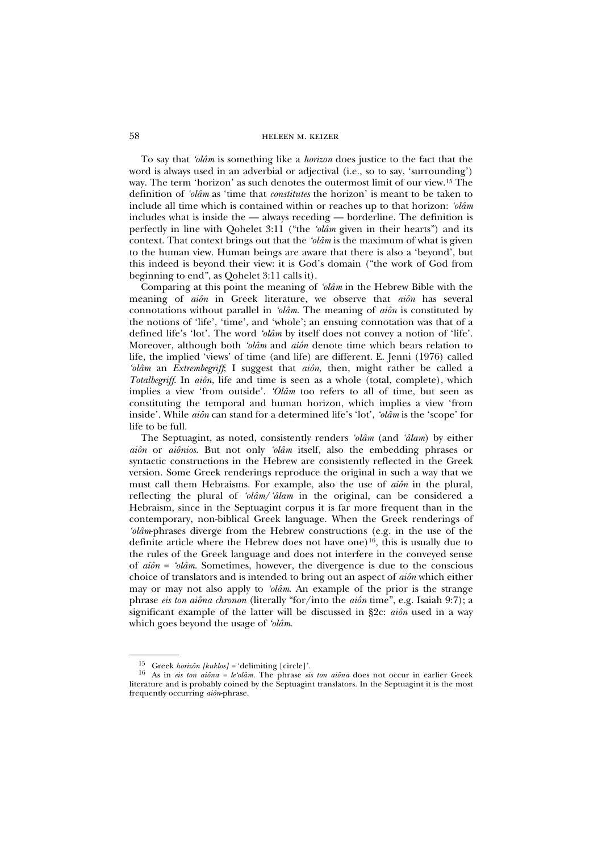To say that *'olâm* is something like a *horizon* does justice to the fact that the word is always used in an adverbial or adjectival (i.e., so to say, 'surrounding') way. The term 'horizon' as such denotes the outermost limit of our view.15 The definition of *'olâm* as 'time that *constitutes* the horizon' is meant to be taken to include all time which is contained within or reaches up to that horizon: *'olâm* includes what is inside the — always receding — borderline. The definition is perfectly in line with Qohelet 3:11 ("the *'olâm* given in their hearts") and its context. That context brings out that the *'olâm* is the maximum of what is given to the human view. Human beings are aware that there is also a 'beyond', but this indeed is beyond their view: it is God's domain ("the work of God from beginning to end", as Qohelet 3:11 calls it).

Comparing at this point the meaning of *'olâm* in the Hebrew Bible with the meaning of *aiôn* in Greek literature, we observe that *aiôn* has several connotations without parallel in *'olâm*. The meaning of *aiôn* is constituted by the notions of 'life', 'time', and 'whole'; an ensuing connotation was that of a defined life's 'lot'. The word *'olâm* by itself does not convey a notion of 'life'. Moreover, although both *'olâm* and *aiôn* denote time which bears relation to life, the implied 'views' of time (and life) are different. E. Jenni (1976) called *'olâm* an *Extrembegriff*; I suggest that *aiôn*, then, might rather be called a *Totalbegriff*. In *aiôn*, life and time is seen as a whole (total, complete), which implies a view 'from outside'. *'Olâm* too refers to all of time, but seen as constituting the temporal and human horizon, which implies a view 'from inside'. While *aiôn* can stand for a determined life's 'lot', *'olâm* is the 'scope' for life to be full.

The Septuagint, as noted, consistently renders *'olâm* (and *'âlam*) by either *aiôn* or *aiônios*. But not only *'olâm* itself, also the embedding phrases or syntactic constructions in the Hebrew are consistently reflected in the Greek version. Some Greek renderings reproduce the original in such a way that we must call them Hebraisms. For example, also the use of *aiôn* in the plural, reflecting the plural of *'olâm*/*'âlam* in the original, can be considered a Hebraism, since in the Septuagint corpus it is far more frequent than in the contemporary, non-biblical Greek language. When the Greek renderings of *'olâm*-phrases diverge from the Hebrew constructions (e.g. in the use of the definite article where the Hebrew does not have one)<sup>16</sup>, this is usually due to the rules of the Greek language and does not interfere in the conveyed sense of *aiôn* = *'olâm*. Sometimes, however, the divergence is due to the conscious choice of translators and is intended to bring out an aspect of *aiôn* which either may or may not also apply to *'olâm*. An example of the prior is the strange phrase *eis ton aiôna chronon* (literally "for/into the *aiôn* time", e.g. Isaiah 9:7); a significant example of the latter will be discussed in §2c: *aiôn* used in a way which goes beyond the usage of *'olâm*.

<sup>15</sup> Greek *horizôn [kuklos] <sup>=</sup>* 'delimiting [circle]'. <sup>16</sup> As in *eis ton aiôna <sup>=</sup> le'olâm.* The phrase *eis ton aiôna* does not occur in earlier Greek literature and is probably coined by the Septuagint translators. In the Septuagint it is the most frequently occurring *aiôn*-phrase.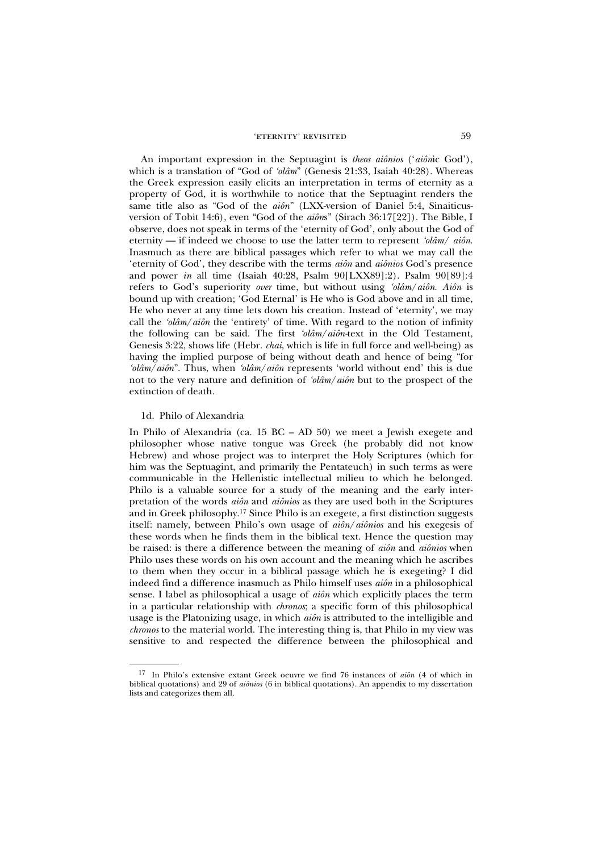An important expression in the Septuagint is *theos aiônios* ('*aiôn*ic God'), which is a translation of "God of 'olâm" (Genesis 21:33, Isaiah 40:28). Whereas the Greek expression easily elicits an interpretation in terms of eternity as a property of God, it is worthwhile to notice that the Septuagint renders the same title also as "God of the *aiôn*" (LXX-version of Daniel 5:4, Sinaiticusversion of Tobit 14:6), even "God of the *aiôn*s" (Sirach 36:17[22]). The Bible, I observe, does not speak in terms of the 'eternity of God', only about the God of eternity — if indeed we choose to use the latter term to represent *'olâm*/ *aiôn*. Inasmuch as there are biblical passages which refer to what we may call the 'eternity of God', they describe with the terms *aiôn* and *aiônios* God's presence and power *in* all time (Isaiah 40:28, Psalm 90[LXX89]:2). Psalm 90[89]:4 refers to God's superiority *over* time, but without using *'olâm*/*aiôn*. *Aiôn* is bound up with creation; 'God Eternal' is He who is God above and in all time, He who never at any time lets down his creation. Instead of 'eternity', we may call the *'olâm*/*aiôn* the 'entirety' of time. With regard to the notion of infinity the following can be said. The first *'olâm*/*aiôn-*text in the Old Testament, Genesis 3:22, shows life (Hebr. *chai*, which is life in full force and well-being) as having the implied purpose of being without death and hence of being "for *'olâm*/*aiôn*". Thus, when *'olâm*/*aiôn* represents 'world without end' this is due not to the very nature and definition of *'olâm*/*aiôn* but to the prospect of the extinction of death.

#### 1d. Philo of Alexandria

In Philo of Alexandria (ca. 15 BC – AD 50) we meet a Jewish exegete and philosopher whose native tongue was Greek (he probably did not know Hebrew) and whose project was to interpret the Holy Scriptures (which for him was the Septuagint, and primarily the Pentateuch) in such terms as were communicable in the Hellenistic intellectual milieu to which he belonged. Philo is a valuable source for a study of the meaning and the early interpretation of the words *aiôn* and *aiônios* as they are used both in the Scriptures and in Greek philosophy.17 Since Philo is an exegete, a first distinction suggests itself: namely, between Philo's own usage of *aiôn*/*aiônios* and his exegesis of these words when he finds them in the biblical text. Hence the question may be raised: is there a difference between the meaning of *aiôn* and *aiônios* when Philo uses these words on his own account and the meaning which he ascribes to them when they occur in a biblical passage which he is exegeting? I did indeed find a difference inasmuch as Philo himself uses *aiôn* in a philosophical sense. I label as philosophical a usage of *aiôn* which explicitly places the term in a particular relationship with *chronos*; a specific form of this philosophical usage is the Platonizing usage, in which *aiôn* is attributed to the intelligible and *chronos* to the material world. The interesting thing is, that Philo in my view was sensitive to and respected the difference between the philosophical and

<sup>17</sup> In Philo's extensive extant Greek oeuvre we find 76 instances of *aiôn* (4 of which in biblical quotations) and 29 of *aiônios* (6 in biblical quotations). An appendix to my dissertation lists and categorizes them all.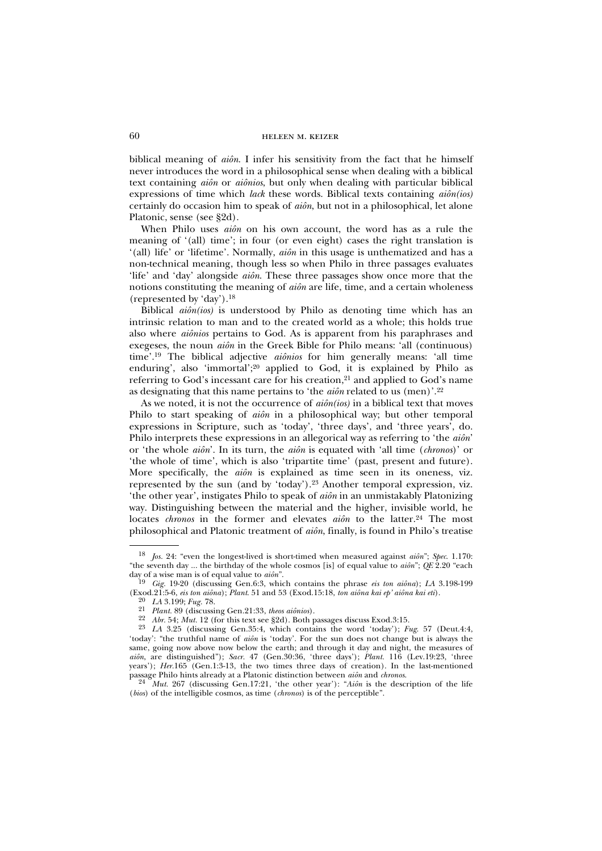biblical meaning of *aiôn*. I infer his sensitivity from the fact that he himself never introduces the word in a philosophical sense when dealing with a biblical text containing *aiôn* or *aiônios*, but only when dealing with particular biblical expressions of time which *lack* these words. Biblical texts containing *aiôn(ios)* certainly do occasion him to speak of *aiôn*, but not in a philosophical, let alone Platonic, sense (see §2d).

When Philo uses *aiôn* on his own account, the word has as a rule the meaning of '(all) time'; in four (or even eight) cases the right translation is '(all) life' or 'lifetime'. Normally, *aiôn* in this usage is unthematized and has a non-technical meaning, though less so when Philo in three passages evaluates 'life' and 'day' alongside *aiôn*. These three passages show once more that the notions constituting the meaning of *aiôn* are life, time, and a certain wholeness (represented by 'day').18

Biblical *aiôn(ios)* is understood by Philo as denoting time which has an intrinsic relation to man and to the created world as a whole; this holds true also where *aiônios* pertains to God. As is apparent from his paraphrases and exegeses, the noun *aiôn* in the Greek Bible for Philo means: 'all (continuous) time'.19 The biblical adjective *aiônios* for him generally means: 'all time enduring', also 'immortal';<sup>20</sup> applied to God, it is explained by Philo as referring to God's incessant care for his creation,<sup>21</sup> and applied to God's name as designating that this name pertains to 'the *aiôn* related to us (men)'.22

As we noted, it is not the occurrence of *aiôn(ios)* in a biblical text that moves Philo to start speaking of *aiôn* in a philosophical way; but other temporal expressions in Scripture, such as 'today', 'three days', and 'three years', do. Philo interprets these expressions in an allegorical way as referring to 'the *aiôn*' or 'the whole *aiôn*'. In its turn, the *aiôn* is equated with 'all time (*chronos*)' or 'the whole of time', which is also 'tripartite time' (past, present and future). More specifically, the *aiôn* is explained as time seen in its oneness, viz. represented by the sun (and by 'today').23 Another temporal expression, viz. 'the other year', instigates Philo to speak of *aiôn* in an unmistakably Platonizing way. Distinguishing between the material and the higher, invisible world, he locates *chronos* in the former and elevates *aiôn* to the latter.24 The most philosophical and Platonic treatment of *aiôn*, finally, is found in Philo's treatise

<sup>18</sup> *Jos.* 24: "even the longest-lived is short-timed when measured against *aiôn*"; *Spec*. 1.170: "the seventh day ... the birthday of the whole cosmos [is] of equal value to *aiôn*"; *QE* 2.20 "each

day of a wise man is of equal value to *aiôn*".<br><sup>19</sup> *Gig.* 19-20 (discussing Gen.6:3, which contains the phrase *eis ton aiôna*); *LA* 3.198-199<br>(Exod.21:5-6, *eis ton aiôna*); *Plant.* 51 and 53 (Exod.15:18, *ton aiôna* 

<sup>&</sup>lt;sup>20</sup> LA 3.199; *Fug.* 78.<br>
<sup>21</sup> *Plant.* 89 (discussing Gen.21:33, *theos aiônios*).<br>
<sup>22</sup> *Abr.* 54; *Mut.* 12 (for this text see §2d). Both passages discuss Exod.3:15.<br>
<sup>23</sup> LA 3.25 (discussing Gen.35:4, which contains 'today': "the truthful name of *aiôn* is 'today'. For the sun does not change but is always the same, going now above now below the earth; and through it day and night, the measures of *aiôn*, are distinguished"); *Sacr.* 47 (Gen.30:36, 'three days'); *Plant.* 116 (Lev.19:23, 'three years'); *Her.*165 (Gen.1:3-13, the two times three days of creation). In the last-mentioned passage Philo hints already at a Platonic distinction between *aiôn* and *chronos*.

<sup>&</sup>lt;sup>24</sup> *Mut.* 267 (discussing Gen.17:21, 'the other year'): "*Aiôn* is the description of the life (*bios*) of the intelligible cosmos, as time (*chronos*) is of the perceptible".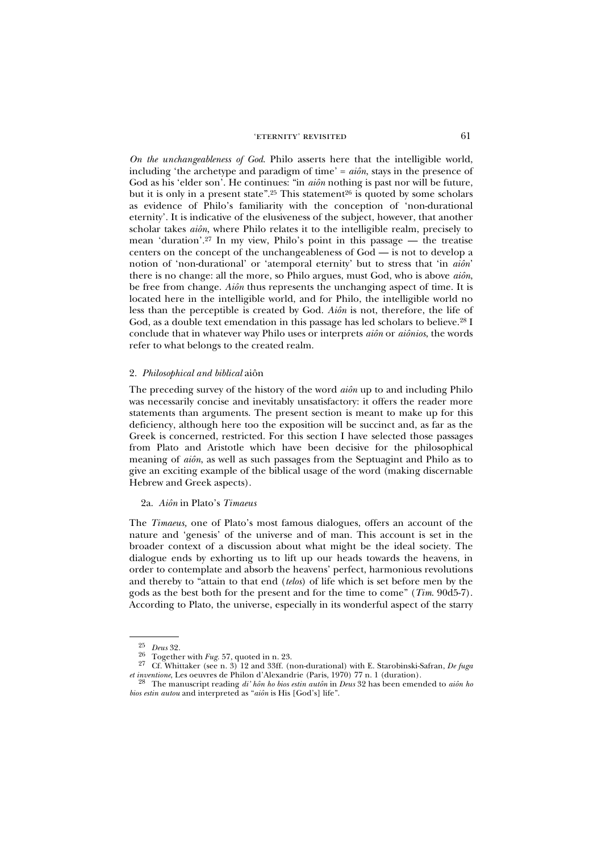*On the unchangeableness of God*. Philo asserts here that the intelligible world, including 'the archetype and paradigm of time' = *aiôn*, stays in the presence of God as his 'elder son'. He continues: "in *aiôn* nothing is past nor will be future, but it is only in a present state".<sup>25</sup> This statement<sup>26</sup> is quoted by some scholars as evidence of Philo's familiarity with the conception of 'non-durational eternity'. It is indicative of the elusiveness of the subject, however, that another scholar takes *aiôn*, where Philo relates it to the intelligible realm, precisely to mean 'duration'.27 In my view, Philo's point in this passage — the treatise centers on the concept of the unchangeableness of God — is not to develop a notion of 'non-durational' or 'atemporal eternity' but to stress that 'in *aiôn*' there is no change: all the more, so Philo argues, must God, who is above *aiôn*, be free from change. *Aiôn* thus represents the unchanging aspect of time. It is located here in the intelligible world, and for Philo, the intelligible world no less than the perceptible is created by God. *Aiôn* is not, therefore, the life of God, as a double text emendation in this passage has led scholars to believe.<sup>28</sup> I conclude that in whatever way Philo uses or interprets *aiôn* or *aiônios*, the words refer to what belongs to the created realm.

### 2. *Philosophical and biblical* aiôn

The preceding survey of the history of the word *aiôn* up to and including Philo was necessarily concise and inevitably unsatisfactory: it offers the reader more statements than arguments. The present section is meant to make up for this deficiency, although here too the exposition will be succinct and, as far as the Greek is concerned, restricted. For this section I have selected those passages from Plato and Aristotle which have been decisive for the philosophical meaning of *aiôn*, as well as such passages from the Septuagint and Philo as to give an exciting example of the biblical usage of the word (making discernable Hebrew and Greek aspects).

### 2a. *Aiôn* in Plato's *Timaeus*

The *Timaeus,* one of Plato's most famous dialogues, offers an account of the nature and 'genesis' of the universe and of man. This account is set in the broader context of a discussion about what might be the ideal society. The dialogue ends by exhorting us to lift up our heads towards the heavens, in order to contemplate and absorb the heavens' perfect, harmonious revolutions and thereby to "attain to that end (*telos*) of life which is set before men by the gods as the best both for the present and for the time to come" (*Tim*. 90d5-7). According to Plato, the universe, especially in its wonderful aspect of the starry

<sup>25</sup> *Deus* 32. <sup>26</sup> Together with *Fug.* 57, quoted in n. 23. <sup>27</sup> Cf. Whittaker (see n. 3) <sup>12</sup> and 33ff. (non-durational) with E. Starobinski-Safran, *De fuga*

<sup>&</sup>lt;sup>28</sup> The manuscript reading di'hôn ho bios estin autôn in Deus 32 has been emended to aiôn ho *bios estin autou* and interpreted as "*aiôn* is His [God's] life".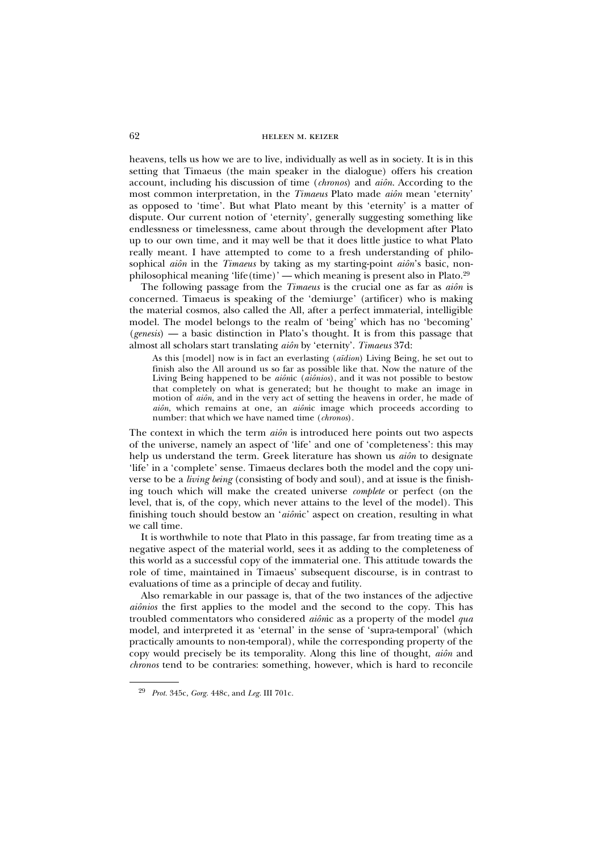heavens, tells us how we are to live, individually as well as in society. It is in this setting that Timaeus (the main speaker in the dialogue) offers his creation account, including his discussion of time (*chronos*) and *aiôn*. According to the most common interpretation, in the *Timaeus* Plato made *aiôn* mean 'eternity' as opposed to 'time'. But what Plato meant by this 'eternity' is a matter of dispute. Our current notion of 'eternity', generally suggesting something like endlessness or timelessness, came about through the development after Plato up to our own time, and it may well be that it does little justice to what Plato really meant. I have attempted to come to a fresh understanding of philosophical *aiôn* in the *Timaeus* by taking as my starting-point *aiôn*'s basic, nonphilosophical meaning 'life(time)' — which meaning is present also in Plato.29

The following passage from the *Timaeus* is the crucial one as far as *aiôn* is concerned. Timaeus is speaking of the 'demiurge' (artificer) who is making the material cosmos, also called the All, after a perfect immaterial, intelligible model. The model belongs to the realm of 'being' which has no 'becoming' (*genesis*) — a basic distinction in Plato's thought. It is from this passage that almost all scholars start translating *aiôn* by 'eternity'. *Timaeus* 37d:

As this [model] now is in fact an everlasting (*aïdion*) Living Being, he set out to finish also the All around us so far as possible like that. Now the nature of the Living Being happened to be *aiôn*ic (*aiônios*), and it was not possible to bestow that completely on what is generated; but he thought to make an image in motion of *aiôn*, and in the very act of setting the heavens in order, he made of *aiôn*, which remains at one, an *aiôn*ic image which proceeds according to number: that which we have named time (*chronos*).

The context in which the term *aiôn* is introduced here points out two aspects of the universe, namely an aspect of 'life' and one of 'completeness': this may help us understand the term. Greek literature has shown us *aiôn* to designate 'life' in a 'complete' sense. Timaeus declares both the model and the copy universe to be a *living being* (consisting of body and soul), and at issue is the finishing touch which will make the created universe *complete* or perfect (on the level, that is, of the copy, which never attains to the level of the model). This finishing touch should bestow an '*aiôn*ic' aspect on creation, resulting in what we call time.

It is worthwhile to note that Plato in this passage, far from treating time as a negative aspect of the material world, sees it as adding to the completeness of this world as a successful copy of the immaterial one. This attitude towards the role of time, maintained in Timaeus' subsequent discourse, is in contrast to evaluations of time as a principle of decay and futility.

Also remarkable in our passage is, that of the two instances of the adjective *aiônios* the first applies to the model and the second to the copy. This has troubled commentators who considered *aiôn*ic as a property of the model *qua* model, and interpreted it as 'eternal' in the sense of 'supra-temporal' (which practically amounts to non-temporal), while the corresponding property of the copy would precisely be its temporality. Along this line of thought, *aiôn* and *chronos* tend to be contraries: something, however, which is hard to reconcile

<sup>29</sup> *Prot.* 345c, *Gorg.* 448c, and *Leg.* III 701c.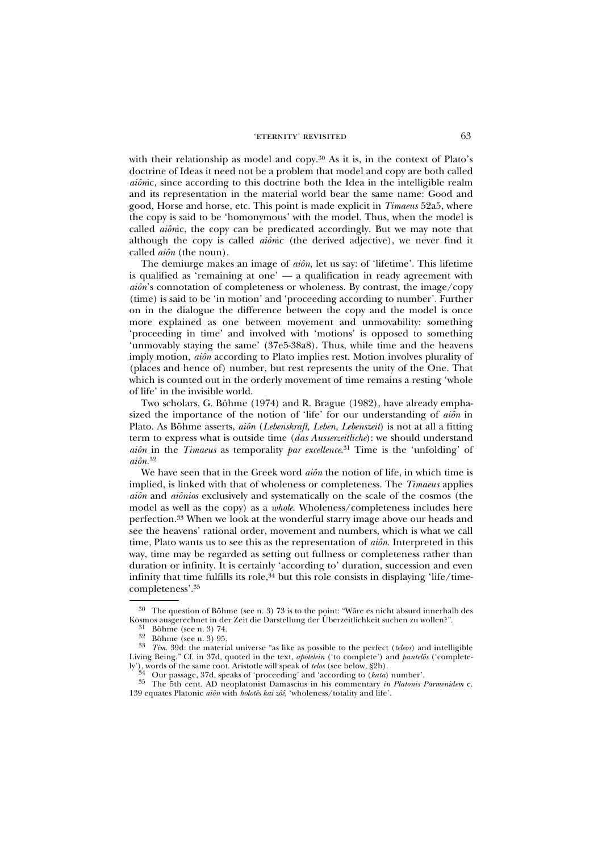with their relationship as model and copy.<sup>30</sup> As it is, in the context of Plato's doctrine of Ideas it need not be a problem that model and copy are both called *aiôn*ic, since according to this doctrine both the Idea in the intelligible realm and its representation in the material world bear the same name: Good and good, Horse and horse, etc. This point is made explicit in *Timaeus* 52a5, where the copy is said to be 'homonymous' with the model. Thus, when the model is called *aiôn*ic, the copy can be predicated accordingly. But we may note that although the copy is called *aiôn*ic (the derived adjective), we never find it called *aiôn* (the noun).

The demiurge makes an image of *aiôn*, let us say: of 'lifetime'. This lifetime is qualified as 'remaining at one'  $-$  a qualification in ready agreement with *aiôn*'s connotation of completeness or wholeness. By contrast, the image/copy (time) is said to be 'in motion' and 'proceeding according to number'. Further on in the dialogue the difference between the copy and the model is once more explained as one between movement and unmovability: something 'proceeding in time' and involved with 'motions' is opposed to something 'unmovably staying the same' (37e5-38a8). Thus, while time and the heavens imply motion, *aiôn* according to Plato implies rest. Motion involves plurality of (places and hence of) number, but rest represents the unity of the One. That which is counted out in the orderly movement of time remains a resting 'whole of life' in the invisible world.

Two scholars, G. Böhme (1974) and R. Brague (1982), have already emphasized the importance of the notion of 'life' for our understanding of *aiôn* in Plato. As Böhme asserts, *aiôn* (*Lebenskraft, Leben, Lebenszeit*) is not at all a fitting term to express what is outside time (*das Ausserzeitliche*): we should understand *aiôn* in the *Timaeus* as temporality *par excellence*. <sup>31</sup> Time is the 'unfolding' of *aiôn*.32

We have seen that in the Greek word *aiôn* the notion of life, in which time is implied, is linked with that of wholeness or completeness. The *Timaeus* applies *aiôn* and *aiônios* exclusively and systematically on the scale of the cosmos (the model as well as the copy) as a *whole*. Wholeness/completeness includes here perfection.33 When we look at the wonderful starry image above our heads and see the heavens' rational order, movement and numbers, which is what we call time, Plato wants us to see this as the representation of *aiôn*. Interpreted in this way, time may be regarded as setting out fullness or completeness rather than duration or infinity. It is certainly 'according to' duration, succession and even infinity that time fulfills its role, $34$  but this role consists in displaying 'life/timecompleteness'.35

 $30$  The question of Böhme (see n. 3) 73 is to the point: "Wäre es nicht absurd innerhalb des Kosmos ausgerechnet in der Zeit die Darstellung der Überzeitlichkeit suchen zu wollen?".

<sup>&</sup>lt;sup>31</sup> Böhme (see n. 3) 74.<br><sup>32</sup> Böhme (see n. 3) 95.<br><sup>32</sup> Böhme (see n. 3) 95.<br><sup>33</sup> *Tim.* 39d: the material universe "as like as possible to the perfect (*teleos*) and intelligible Living Being." Cf. in 37d, quoted in the text, *apotelein* ('to complete') and *pantelôs* ('complete-ly'), words of the same root. Aristotle will speak of *telos* (see below, §2b).

 $^{34}$  Our passage, 37d, speaks of 'proceeding' and 'according to (kata) number'.<br><sup>35</sup> The 5th cent. AD neoplatonist Damascius in his commentary *in Platonis Parmenidem* c. 139 equates Platonic *aiôn* with *holotês kai zôê*, 'wholeness/totality and life'.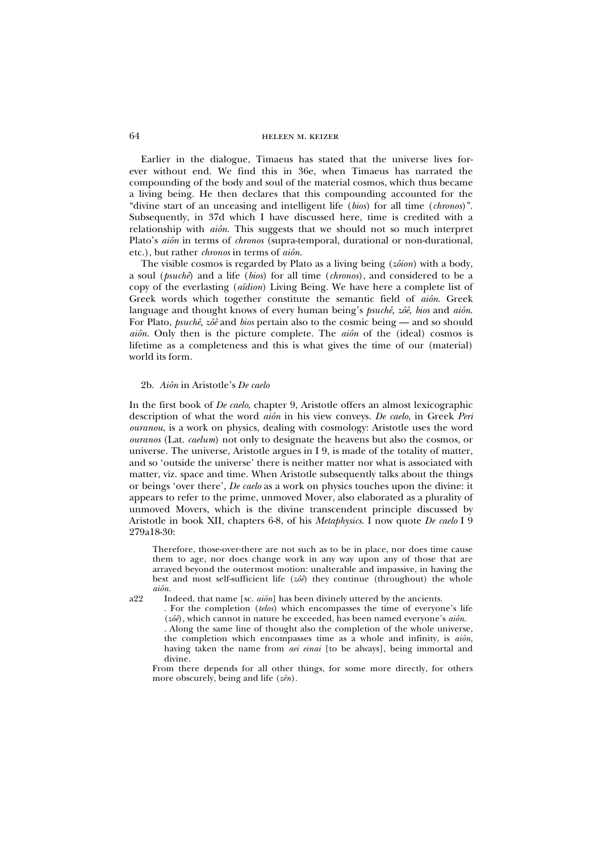Earlier in the dialogue, Timaeus has stated that the universe lives forever without end. We find this in 36e, when Timaeus has narrated the compounding of the body and soul of the material cosmos, which thus became a living being. He then declares that this compounding accounted for the "divine start of an unceasing and intelligent life (*bios*) for all time (*chronos*)". Subsequently, in 37d which I have discussed here, time is credited with a relationship with *aiôn*. This suggests that we should not so much interpret Plato's *aiôn* in terms of *chronos* (supra-temporal, durational or non-durational, etc.), but rather *chronos* in terms of *aiôn*.

The visible cosmos is regarded by Plato as a living being (*zôion*) with a body, a soul (*psuchê*) and a life (*bios*) for all time (*chronos*), and considered to be a copy of the everlasting (*aïdion*) Living Being. We have here a complete list of Greek words which together constitute the semantic field of *aiôn*. Greek language and thought knows of every human being's *psuchê, zôê, bios* and *aiôn*. For Plato, *psuchê, zôê* and *bios* pertain also to the cosmic being — and so should *aiôn*. Only then is the picture complete. The *aiôn* of the (ideal) cosmos is lifetime as a completeness and this is what gives the time of our (material) world its form.

#### 2b. *Aiôn* in Aristotle's *De caelo*

In the first book of *De caelo*, chapter 9, Aristotle offers an almost lexicographic description of what the word *aiôn* in his view conveys. *De caelo*, in Greek *Peri ouranou*, is a work on physics, dealing with cosmology: Aristotle uses the word *ouranos* (Lat. *caelum*) not only to designate the heavens but also the cosmos, or universe. The universe, Aristotle argues in I 9, is made of the totality of matter, and so 'outside the universe' there is neither matter nor what is associated with matter, viz. space and time. When Aristotle subsequently talks about the things or beings 'over there', *De caelo* as a work on physics touches upon the divine: it appears to refer to the prime, unmoved Mover, also elaborated as a plurality of unmoved Movers, which is the divine transcendent principle discussed by Aristotle in book XII, chapters 6-8, of his *Metaphysics*. I now quote *De caelo* I 9 279a18-30:

Therefore, those-over-there are not such as to be in place, nor does time cause them to age, nor does change work in any way upon any of those that are arrayed beyond the outermost motion: unalterable and impassive, in having the best and most self-sufficient life (*zôê*) they continue (throughout) the whole *aiôn*.

a22 Indeed, that name [sc. *aiôn*] has been divinely uttered by the ancients.

. For the completion (*telos*) which encompasses the time of everyone's life (*zôê*), which cannot in nature be exceeded, has been named everyone's *aiôn*.

. Along the same line of thought also the completion of the whole universe, the completion which encompasses time as a whole and infinity, is *aiôn*, having taken the name from *aei einai* [to be always], being immortal and divine.

From there depends for all other things, for some more directly, for others more obscurely, being and life (*zên*).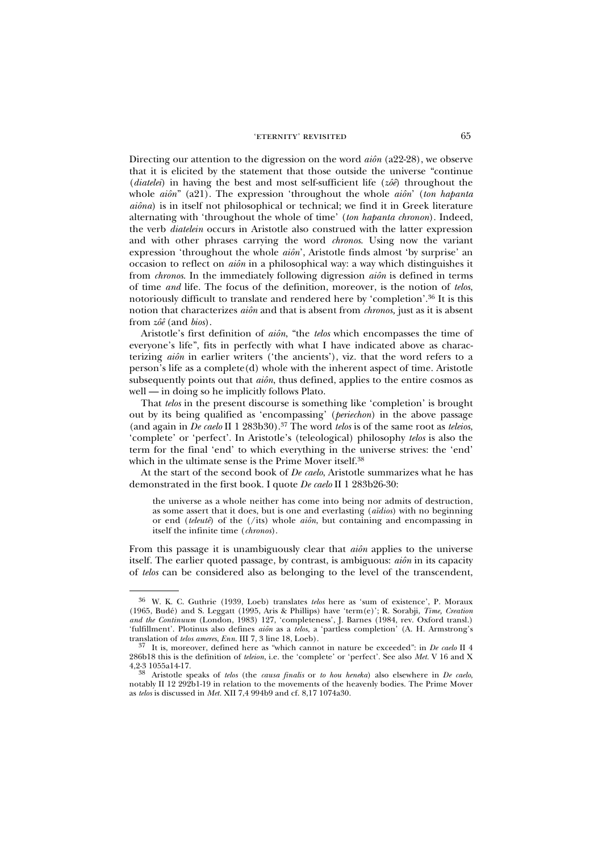Directing our attention to the digression on the word *aiôn* (a22-28), we observe that it is elicited by the statement that those outside the universe "continue (*diatelei*) in having the best and most self-sufficient life (*zôê*) throughout the whole *aiôn*" (a21). The expression 'throughout the whole *aiôn*' (*ton hapanta aiôna*) is in itself not philosophical or technical; we find it in Greek literature alternating with 'throughout the whole of time' (*ton hapanta chronon*). Indeed, the verb *diatelein* occurs in Aristotle also construed with the latter expression and with other phrases carrying the word *chronos*. Using now the variant expression 'throughout the whole *aiôn*', Aristotle finds almost 'by surprise' an occasion to reflect on *aiôn* in a philosophical way: a way which distinguishes it from *chronos*. In the immediately following digression *aiôn* is defined in terms of time *and* life. The focus of the definition, moreover, is the notion of *telos*, notoriously difficult to translate and rendered here by 'completion'.36 It is this notion that characterizes *aiôn* and that is absent from *chronos,* just as it is absent from *zôê* (and *bios*).

Aristotle's first definition of *aiôn*, "the *telos* which encompasses the time of everyone's life", fits in perfectly with what I have indicated above as characterizing *aiôn* in earlier writers ('the ancients'), viz. that the word refers to a person's life as a complete(d) whole with the inherent aspect of time. Aristotle subsequently points out that *aiôn*, thus defined, applies to the entire cosmos as well — in doing so he implicitly follows Plato.

That *telos* in the present discourse is something like 'completion' is brought out by its being qualified as 'encompassing' (*periechon*) in the above passage (and again in *De caelo* II 1 283b30).37 The word *telos* is of the same root as *teleios*, 'complete' or 'perfect'. In Aristotle's (teleological) philosophy *telos* is also the term for the final 'end' to which everything in the universe strives: the 'end' which in the ultimate sense is the Prime Mover itself.38

At the start of the second book of *De caelo*, Aristotle summarizes what he has demonstrated in the first book. I quote *De caelo* II 1 283b26-30:

the universe as a whole neither has come into being nor admits of destruction, as some assert that it does, but is one and everlasting (*aïdios*) with no beginning or end (*teleutê*) of the (/its) whole *aiôn*, but containing and encompassing in itself the infinite time (*chronos*).

From this passage it is unambiguously clear that *aiôn* applies to the universe itself. The earlier quoted passage, by contrast, is ambiguous: *aiôn* in its capacity of *telos* can be considered also as belonging to the level of the transcendent,

<sup>36</sup> W. K. C. Guthrie (1939, Loeb) translates *telos* here as 'sum of existence', P. Moraux (1965, Budé) and S. Leggatt (1995, Aris & Phillips) have 'term(e)'; R. Sorabji, *Time, Creation and the Continuum* (London, 1983) 127, 'completeness', J. Barnes (1984, rev. Oxford transl.) 'fulfillment'. Plotinus also defines *aiôn* as a *telos*, a 'partless completion' (A. H. Armstrong's

<sup>&</sup>lt;sup>37</sup> It is, moreover, defined here as "which cannot in nature be exceeded": in *De caelo* II 4 286b18 this is the definition of *teleion*, i.e. the 'complete' or 'perfect'. See also *Met.* V 16 and X

<sup>4,2-3</sup> 1055a14-17. <sup>38</sup> Aristotle speaks of *telos* (the *causa finalis* or *to hou heneka*) also elsewhere in *De caelo*, notably II 12 292b1-19 in relation to the movements of the heavenly bodies. The Prime Mover as *telos* is discussed in *Met.* XII 7,4 994b9 and cf. 8,17 1074a30.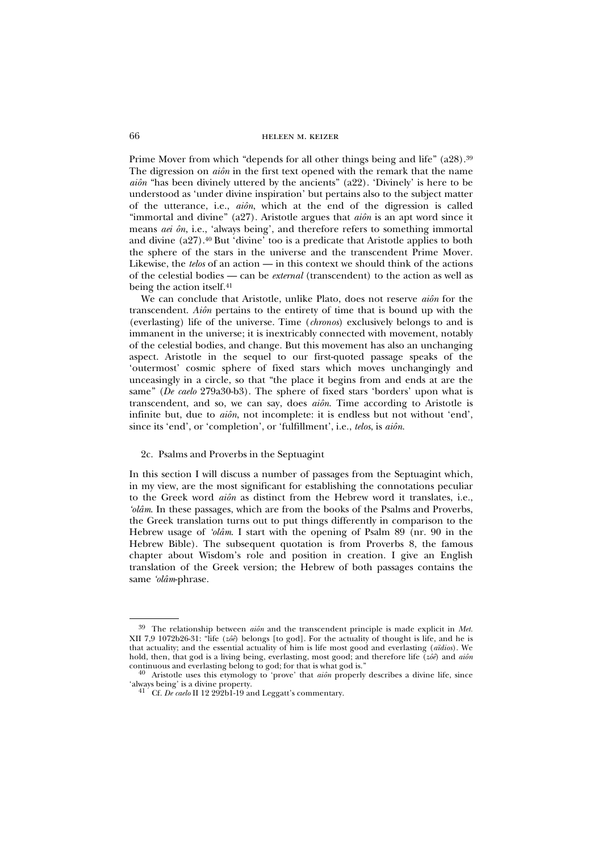Prime Mover from which "depends for all other things being and life" (a28).<sup>39</sup> The digression on *aiôn* in the first text opened with the remark that the name *aiôn* "has been divinely uttered by the ancients" (a22). 'Divinely' is here to be understood as 'under divine inspiration' but pertains also to the subject matter of the utterance, i.e., *aiôn*, which at the end of the digression is called "immortal and divine" (a27). Aristotle argues that *aiôn* is an apt word since it means *aei ôn*, i.e., 'always being', and therefore refers to something immortal and divine  $(a27)$ .<sup>40</sup> But 'divine' too is a predicate that Aristotle applies to both the sphere of the stars in the universe and the transcendent Prime Mover. Likewise, the *telos* of an action — in this context we should think of the actions of the celestial bodies — can be *external* (transcendent) to the action as well as being the action itself.41

We can conclude that Aristotle, unlike Plato, does not reserve *aiôn* for the transcendent. *Aiôn* pertains to the entirety of time that is bound up with the (everlasting) life of the universe. Time (*chronos*) exclusively belongs to and is immanent in the universe; it is inextricably connected with movement, notably of the celestial bodies, and change. But this movement has also an unchanging aspect. Aristotle in the sequel to our first-quoted passage speaks of the 'outermost' cosmic sphere of fixed stars which moves unchangingly and unceasingly in a circle, so that "the place it begins from and ends at are the same" (*De caelo* 279a30-b3). The sphere of fixed stars 'borders' upon what is transcendent, and so, we can say, does *aiôn*. Time according to Aristotle is infinite but, due to *aiôn*, not incomplete: it is endless but not without 'end', since its 'end', or 'completion', or 'fulfillment', i.e., *telos*, is *aiôn*.

#### 2c. Psalms and Proverbs in the Septuagint

In this section I will discuss a number of passages from the Septuagint which, in my view, are the most significant for establishing the connotations peculiar to the Greek word *aiôn* as distinct from the Hebrew word it translates, i.e., *'olâm*. In these passages, which are from the books of the Psalms and Proverbs, the Greek translation turns out to put things differently in comparison to the Hebrew usage of *'olâm*. I start with the opening of Psalm 89 (nr. 90 in the Hebrew Bible). The subsequent quotation is from Proverbs 8, the famous chapter about Wisdom's role and position in creation. I give an English translation of the Greek version; the Hebrew of both passages contains the same *'olâm*-phrase.

<sup>39</sup> The relationship between *aiôn* and the transcendent principle is made explicit in *Met.* XII 7,9 1072b26-31: "life (*zôê*) belongs [to god]. For the actuality of thought is life, and he is that actuality; and the essential actuality of him is life most good and everlasting (*aïdios*). We hold, then, that god is a living being, everlasting, most good; and therefore life (*zôê*) and *aiôn*

<sup>&</sup>lt;sup>40</sup> Aristotle uses this etymology to 'prove' that *aiôn* properly describes a divine life, since 'always being' is a divine property.

<sup>&</sup>lt;sup>41</sup> Cf. *De caelo* II 12 292b1-19 and Leggatt's commentary.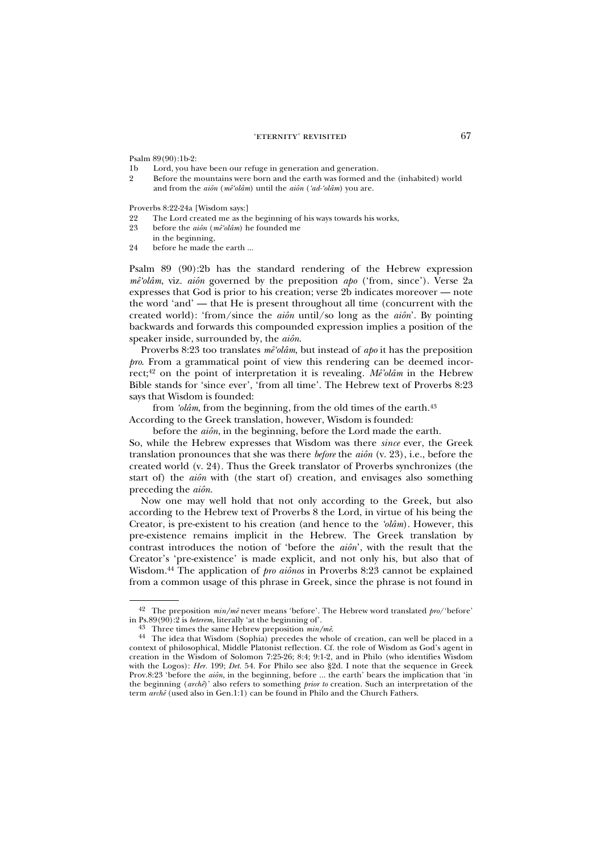Psalm 89(90):1b-2:

- 1b Lord, you have been our refuge in generation and generation.
- 2 Before the mountains were born and the earth was formed and the (inhabited) world and from the *aiôn* (*mê'olâm*) until the *aiôn* (*'ad-'olâm*) you are.

Proverbs 8:22-24a [Wisdom says:]

- 22 The Lord created me as the beginning of his ways towards his works,
- 23 before the *aiôn* (*mê'olâm*) he founded me in the beginning,
- 24 before he made the earth ...

Psalm 89 (90):2b has the standard rendering of the Hebrew expression *mê'olâm*, viz. *aiôn* governed by the preposition *apo* ('from, since'). Verse 2a expresses that God is prior to his creation; verse 2b indicates moreover — note the word 'and' — that He is present throughout all time (concurrent with the created world): 'from/since the *aiôn* until/so long as the *aiôn*'. By pointing backwards and forwards this compounded expression implies a position of the speaker inside, surrounded by, the *aiôn*.

Proverbs 8:23 too translates *mê'olâm*, but instead of *apo* it has the preposition *pro*. From a grammatical point of view this rendering can be deemed incorrect;42 on the point of interpretation it is revealing. *Mê'olâm* in the Hebrew Bible stands for 'since ever', 'from all time'. The Hebrew text of Proverbs 8:23 says that Wisdom is founded:

from *'olâm*, from the beginning, from the old times of the earth.<sup>43</sup> According to the Greek translation, however, Wisdom is founded:

before the *aiôn*, in the beginning, before the Lord made the earth.

So, while the Hebrew expresses that Wisdom was there *since* ever, the Greek translation pronounces that she was there *before* the *aiôn* (v. 23), i.e., before the created world (v. 24). Thus the Greek translator of Proverbs synchronizes (the start of) the *aiôn* with (the start of) creation, and envisages also something preceding the *aiôn*.

Now one may well hold that not only according to the Greek, but also according to the Hebrew text of Proverbs 8 the Lord, in virtue of his being the Creator, is pre-existent to his creation (and hence to the *'olâm*). However, this pre-existence remains implicit in the Hebrew. The Greek translation by contrast introduces the notion of 'before the *aiôn*', with the result that the Creator's 'pre-existence' is made explicit, and not only his, but also that of Wisdom.44 The application of *pro aiônos* in Proverbs 8:23 cannot be explained from a common usage of this phrase in Greek, since the phrase is not found in

<sup>&</sup>lt;sup>42</sup> The preposition  $min/m\hat{e}$  never means 'before'. The Hebrew word translated  $pro/$ 'before' in Ps.89(90):2 is *beterem*, literally 'at the beginning of'.

<sup>&</sup>lt;sup>43</sup> Three times the same Hebrew preposition  $min/m\hat{e}$ .<br><sup>44</sup> The idea that Wisdom (Sophia) precedes the whole of creation, can well be placed in a context of philosophical, Middle Platonist reflection. Cf. the role of Wisdom as God's agent in creation in the Wisdom of Solomon 7:25-26; 8:4; 9:1-2, and in Philo (who identifies Wisdom with the Logos): *Her.* 199; *Det.* 54. For Philo see also §2d. I note that the sequence in Greek Prov.8:23 'before the *aiôn*, in the beginning, before ... the earth' bears the implication that 'in the beginning (*archê*)' also refers to something *prior to* creation. Such an interpretation of the term *archê* (used also in Gen.1:1) can be found in Philo and the Church Fathers.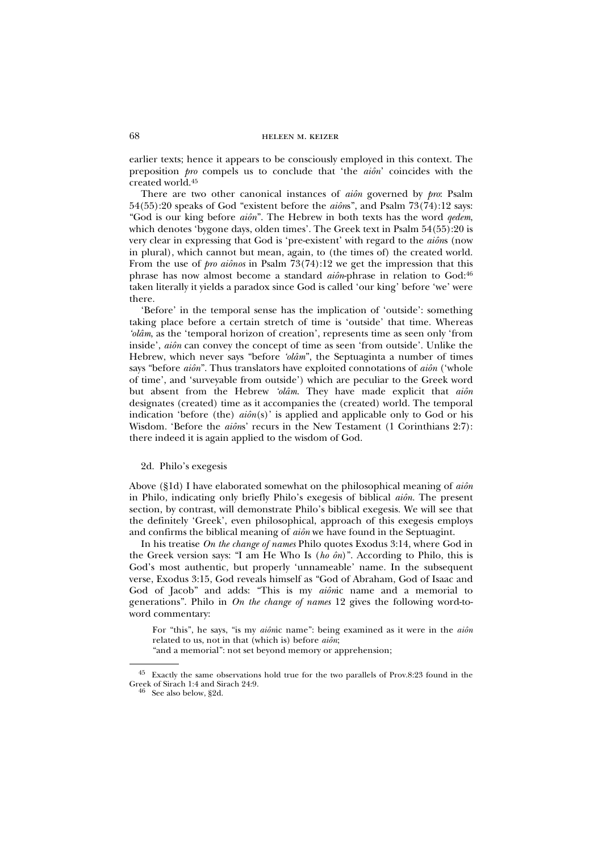earlier texts; hence it appears to be consciously employed in this context. The preposition *pro* compels us to conclude that 'the *aiôn*' coincides with the created world.45

There are two other canonical instances of *aiôn* governed by *pro*: Psalm 54(55):20 speaks of God "existent before the *aiôn*s", and Psalm 73(74):12 says: "God is our king before *aiôn*". The Hebrew in both texts has the word *qedem*, which denotes 'bygone days, olden times'. The Greek text in Psalm 54(55):20 is very clear in expressing that God is 'pre-existent' with regard to the *aiôn*s (now in plural), which cannot but mean, again, to (the times of) the created world. From the use of *pro aiônos* in Psalm 73(74):12 we get the impression that this phrase has now almost become a standard *aiôn*-phrase in relation to God:46 taken literally it yields a paradox since God is called 'our king' before 'we' were there.

'Before' in the temporal sense has the implication of 'outside': something taking place before a certain stretch of time is 'outside' that time. Whereas *'olâm*, as the 'temporal horizon of creation', represents time as seen only 'from inside', *aiôn* can convey the concept of time as seen 'from outside'. Unlike the Hebrew, which never says "before *'olâm*", the Septuaginta a number of times says "before *aiôn*". Thus translators have exploited connotations of *aiôn* ('whole of time', and 'surveyable from outside') which are peculiar to the Greek word but absent from the Hebrew *'olâm*. They have made explicit that *aiôn* designates (created) time as it accompanies the (created) world. The temporal indication 'before (the) *aiôn*(s)' is applied and applicable only to God or his Wisdom. 'Before the *aiôn*s' recurs in the New Testament (1 Corinthians 2:7): there indeed it is again applied to the wisdom of God.

#### 2d. Philo's exegesis

Above (§1d) I have elaborated somewhat on the philosophical meaning of *aiôn* in Philo, indicating only briefly Philo's exegesis of biblical *aiôn*. The present section, by contrast, will demonstrate Philo's biblical exegesis. We will see that the definitely 'Greek', even philosophical, approach of this exegesis employs and confirms the biblical meaning of *aiôn* we have found in the Septuagint.

In his treatise *On the change of names* Philo quotes Exodus 3:14, where God in the Greek version says: "I am He Who Is (*ho ôn*)". According to Philo, this is God's most authentic, but properly 'unnameable' name. In the subsequent verse, Exodus 3:15, God reveals himself as "God of Abraham, God of Isaac and God of Jacob" and adds: "This is my *aiôn*ic name and a memorial to generations". Philo in *On the change of names* 12 gives the following word-toword commentary:

For "this", he says, "is my *aiôn*ic name": being examined as it were in the *aiôn* related to us, not in that (which is) before *aiôn*;

"and a memorial": not set beyond memory or apprehension;

<sup>45</sup> Exactly the same observations hold true for the two parallels of Prov.8:23 found in the Greek of Sirach 1:4 and Sirach 24:9.<br><sup>46</sup> See also below, §2d.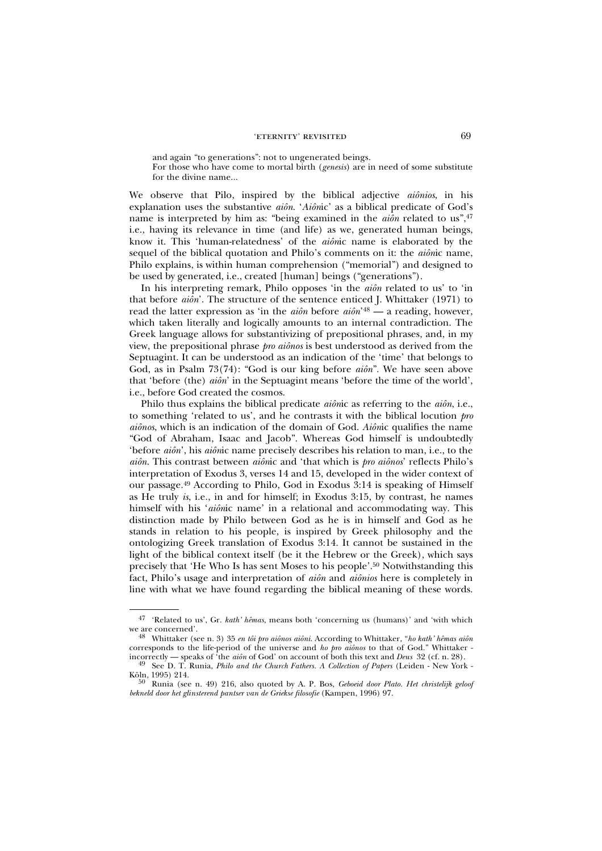and again "to generations": not to ungenerated beings. For those who have come to mortal birth (*genesis*) are in need of some substitute for the divine name...

We observe that Pilo, inspired by the biblical adjective *aiônios*, in his explanation uses the substantive *aiôn*. '*Aiôn*ic' as a biblical predicate of God's name is interpreted by him as: "being examined in the  $a_i \hat{\delta n}$  related to us",<sup>47</sup> i.e., having its relevance in time (and life) as we, generated human beings, know it. This 'human-relatedness' of the *aiôn*ic name is elaborated by the sequel of the biblical quotation and Philo's comments on it: the *aiôn*ic name, Philo explains, is within human comprehension ("memorial") and designed to be used by generated, i.e., created [human] beings ("generations").

In his interpreting remark, Philo opposes 'in the *aiôn* related to us' to 'in that before *aiôn*'. The structure of the sentence enticed J. Whittaker (1971) to read the latter expression as 'in the *aiôn* before *aiôn*'48 — a reading, however, which taken literally and logically amounts to an internal contradiction. The Greek language allows for substantivizing of prepositional phrases, and, in my view, the prepositional phrase *pro aiônos* is best understood as derived from the Septuagint. It can be understood as an indication of the 'time' that belongs to God, as in Psalm 73(74): "God is our king before *aiôn*". We have seen above that 'before (the) *aiôn*' in the Septuagint means 'before the time of the world', i.e., before God created the cosmos.

Philo thus explains the biblical predicate *aiôn*ic as referring to the *aiôn*, i.e., to something 'related to us', and he contrasts it with the biblical locution *pro aiônos*, which is an indication of the domain of God. *Aiôn*ic qualifies the name "God of Abraham, Isaac and Jacob". Whereas God himself is undoubtedly 'before *aiôn*', his *aiôn*ic name precisely describes his relation to man, i.e., to the *aiôn*. This contrast between *aiôn*ic and 'that which is *pro aiônos*' reflects Philo's interpretation of Exodus 3, verses 14 and 15, developed in the wider context of our passage.49 According to Philo, God in Exodus 3:14 is speaking of Himself as He truly *is*, i.e., in and for himself; in Exodus 3:15, by contrast, he names himself with his '*aiôn*ic name' in a relational and accommodating way. This distinction made by Philo between God as he is in himself and God as he stands in relation to his people, is inspired by Greek philosophy and the ontologizing Greek translation of Exodus 3:14. It cannot be sustained in the light of the biblical context itself (be it the Hebrew or the Greek), which says precisely that 'He Who Is has sent Moses to his people'.50 Notwithstanding this fact, Philo's usage and interpretation of *aiôn* and *aiônios* here is completely in line with what we have found regarding the biblical meaning of these words.

<sup>47</sup> 'Related to us', Gr. *kath' hêmas,* means both 'concerning us (humans)' and 'with which

we are concerned'. <sup>48</sup> Whittaker (see n. 3) <sup>35</sup> *en tôi pro aiônos aiôni*. According to Whittaker, "*ho kath' hêmas aiôn* corresponds to the life-period of the universe and *ho pro aiônos* to that of God." Whittaker -<br>incorrectly — speaks of 'the *aiôn* of God' on account of both this text and *Deus* 32 (cf. n. 28).

 $^{49}$  See D. T. Runia, Philo and the Church Fathers. A Collection of Papers (Leiden - New York - Köln, 1995) 214.

Köln, 1995) 214. <sup>50</sup> Runia (see n. 49) 216, also quoted by A. P. Bos, *Geboeid door Plato. Het christelijk geloof bekneld door het glinsterend pantser van de Griekse filosofie* (Kampen, 1996) 97.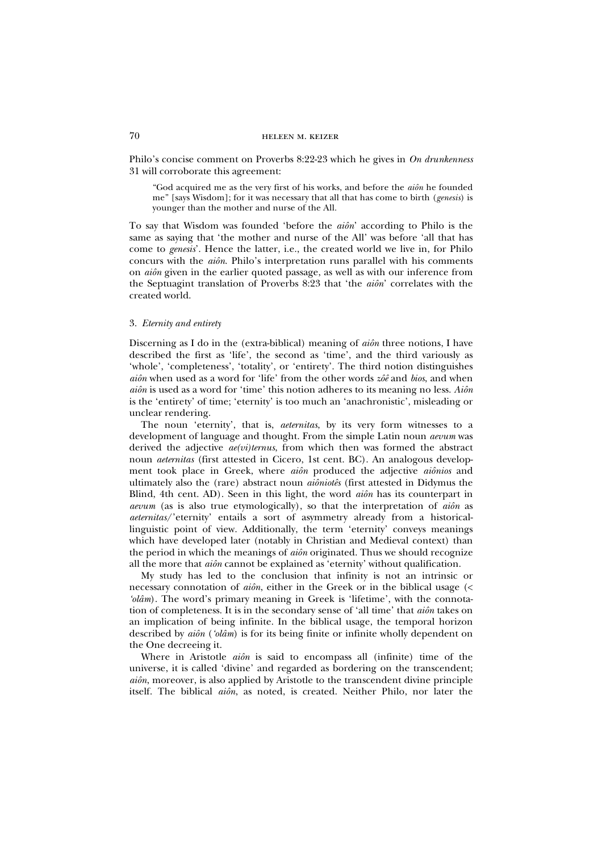Philo's concise comment on Proverbs 8:22-23 which he gives in *On drunkenness* 31 will corroborate this agreement:

"God acquired me as the very first of his works, and before the *aiôn* he founded me" [says Wisdom]; for it was necessary that all that has come to birth (*genesis*) is younger than the mother and nurse of the All.

To say that Wisdom was founded 'before the *aiôn*' according to Philo is the same as saying that 'the mother and nurse of the All' was before 'all that has come to *genesis*'. Hence the latter, i.e., the created world we live in, for Philo concurs with the *aiôn*. Philo's interpretation runs parallel with his comments on *aiôn* given in the earlier quoted passage, as well as with our inference from the Septuagint translation of Proverbs 8:23 that 'the *aiôn*' correlates with the created world.

### 3. *Eternity and entirety*

Discerning as I do in the (extra-biblical) meaning of *aiôn* three notions, I have described the first as 'life', the second as 'time', and the third variously as 'whole', 'completeness', 'totality', or 'entirety'. The third notion distinguishes *aiôn* when used as a word for 'life' from the other words *zôê* and *bios*, and when *aiôn* is used as a word for 'time' this notion adheres to its meaning no less. *Aiôn* is the 'entirety' of time; 'eternity' is too much an 'anachronistic', misleading or unclear rendering.

The noun 'eternity', that is, *aeternitas*, by its very form witnesses to a development of language and thought. From the simple Latin noun *aevum* was derived the adjective *ae(vi)ternus*, from which then was formed the abstract noun *aeternitas* (first attested in Cicero, 1st cent. BC). An analogous development took place in Greek, where *aiôn* produced the adjective *aiônios* and ultimately also the (rare) abstract noun *aiôniotês* (first attested in Didymus the Blind, 4th cent. AD). Seen in this light, the word *aiôn* has its counterpart in *aevum* (as is also true etymologically), so that the interpretation of *aiôn* as *aeternitas*/'eternity' entails a sort of asymmetry already from a historicallinguistic point of view. Additionally, the term 'eternity' conveys meanings which have developed later (notably in Christian and Medieval context) than the period in which the meanings of *aiôn* originated. Thus we should recognize all the more that *aiôn* cannot be explained as 'eternity' without qualification.

My study has led to the conclusion that infinity is not an intrinsic or necessary connotation of *aiôn*, either in the Greek or in the biblical usage (< *'olâm*). The word's primary meaning in Greek is 'lifetime', with the connotation of completeness. It is in the secondary sense of 'all time' that *aiôn* takes on an implication of being infinite. In the biblical usage, the temporal horizon described by *aiôn* (*'olâm*) is for its being finite or infinite wholly dependent on the One decreeing it.

Where in Aristotle *aiôn* is said to encompass all (infinite) time of the universe, it is called 'divine' and regarded as bordering on the transcendent; *aiôn*, moreover, is also applied by Aristotle to the transcendent divine principle itself. The biblical *aiôn*, as noted, is created. Neither Philo, nor later the